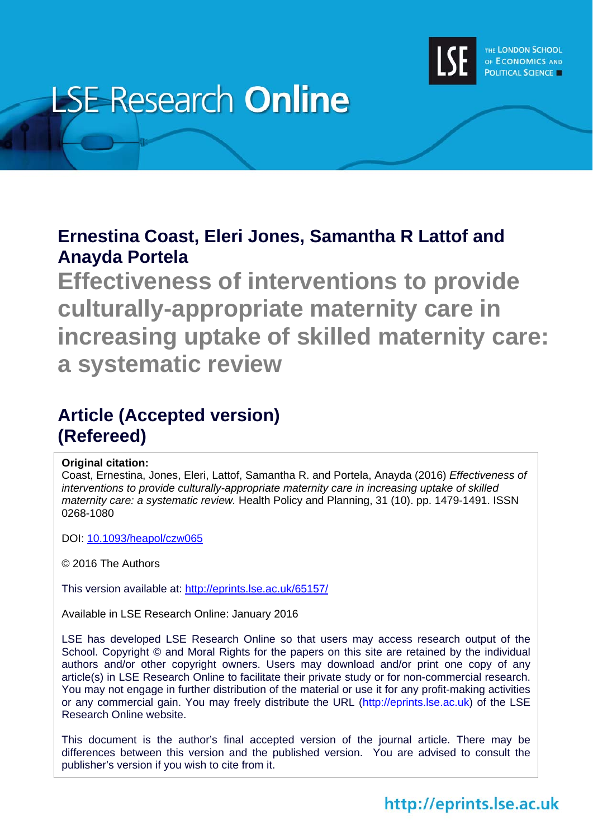

# **LSE Research Online**

# **Ernestina Coast, Eleri Jones, Samantha R Lattof and Anayda Portela**

**Effectiveness of interventions to provide culturally-appropriate maternity care in increasing uptake of skilled maternity care: a systematic review** 

# **Article (Accepted version) (Refereed)**

# **Original citation:**

Coast, Ernestina, Jones, Eleri, Lattof, Samantha R. and Portela, Anayda (2016) *Effectiveness of interventions to provide culturally-appropriate maternity care in increasing uptake of skilled maternity care: a systematic review.* Health Policy and Planning, 31 (10). pp. 1479-1491. ISSN 0268-1080

DOI: 10.1093/heapol/czw065

© 2016 The Authors

This version available at: http://eprints.lse.ac.uk/65157/

Available in LSE Research Online: January 2016

LSE has developed LSE Research Online so that users may access research output of the School. Copyright © and Moral Rights for the papers on this site are retained by the individual authors and/or other copyright owners. Users may download and/or print one copy of any article(s) in LSE Research Online to facilitate their private study or for non-commercial research. You may not engage in further distribution of the material or use it for any profit-making activities or any commercial gain. You may freely distribute the URL (http://eprints.lse.ac.uk) of the LSE Research Online website.

This document is the author's final accepted version of the journal article. There may be differences between this version and the published version. You are advised to consult the publisher's version if you wish to cite from it.

# http://eprints.lse.ac.uk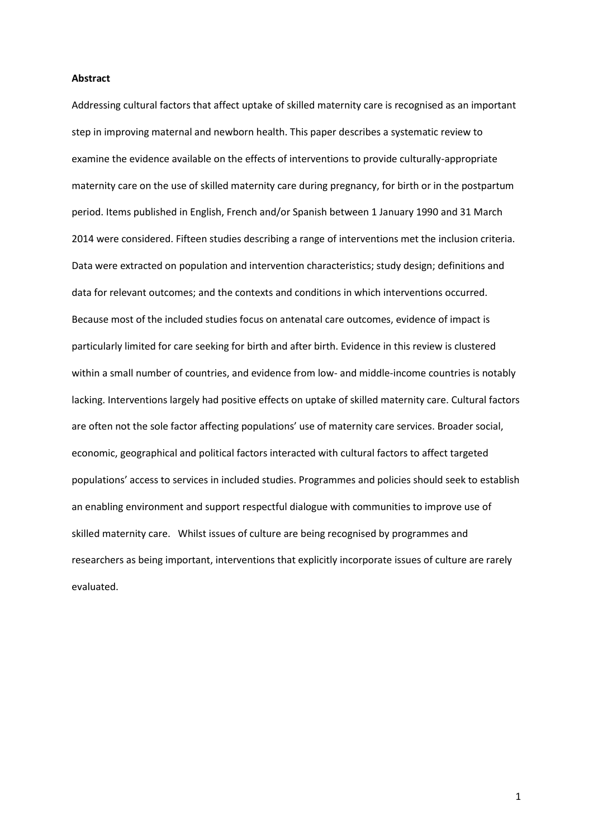#### **Abstract**

Addressing cultural factors that affect uptake of skilled maternity care is recognised as an important step in improving maternal and newborn health. This paper describes a systematic review to examine the evidence available on the effects of interventions to provide culturally-appropriate maternity care on the use of skilled maternity care during pregnancy, for birth or in the postpartum period. Items published in English, French and/or Spanish between 1 January 1990 and 31 March 2014 were considered. Fifteen studies describing a range of interventions met the inclusion criteria. Data were extracted on population and intervention characteristics; study design; definitions and data for relevant outcomes; and the contexts and conditions in which interventions occurred. Because most of the included studies focus on antenatal care outcomes, evidence of impact is particularly limited for care seeking for birth and after birth. Evidence in this review is clustered within a small number of countries, and evidence from low- and middle-income countries is notably lacking. Interventions largely had positive effects on uptake of skilled maternity care. Cultural factors are often not the sole factor affecting populations' use of maternity care services. Broader social, economic, geographical and political factors interacted with cultural factors to affect targeted populations' access to services in included studies. Programmes and policies should seek to establish an enabling environment and support respectful dialogue with communities to improve use of skilled maternity care. Whilst issues of culture are being recognised by programmes and researchers as being important, interventions that explicitly incorporate issues of culture are rarely evaluated.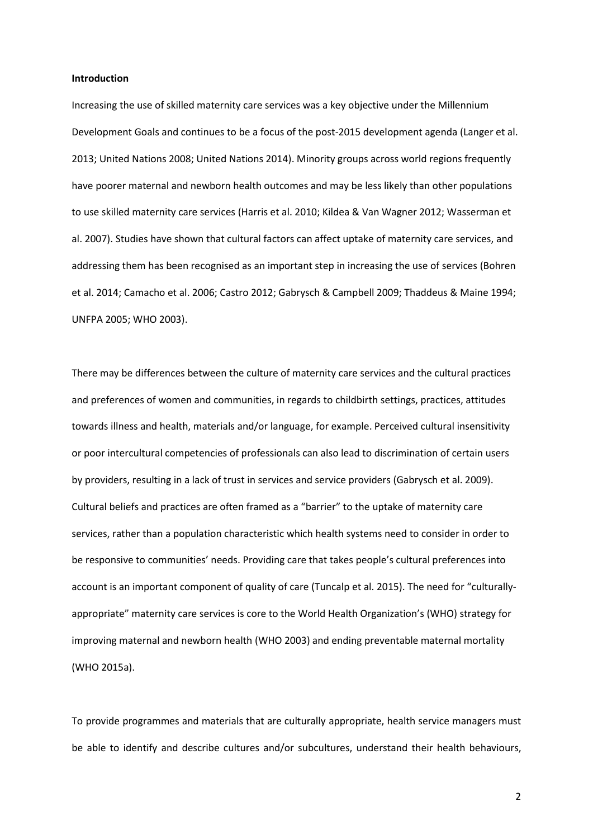#### **Introduction**

Increasing the use of skilled maternity care services was a key objective under the Millennium Development Goals and continues to be a focus of the post-2015 development agenda (Langer et al. 2013; United Nations 2008; United Nations 2014). Minority groups across world regions frequently have poorer maternal and newborn health outcomes and may be less likely than other populations to use skilled maternity care services (Harris et al. 2010; Kildea & Van Wagner 2012; Wasserman et al. 2007). Studies have shown that cultural factors can affect uptake of maternity care services, and addressing them has been recognised as an important step in increasing the use of services (Bohren et al. 2014; Camacho et al. 2006; Castro 2012; Gabrysch & Campbell 2009; Thaddeus & Maine 1994; UNFPA 2005; WHO 2003).

There may be differences between the culture of maternity care services and the cultural practices and preferences of women and communities, in regards to childbirth settings, practices, attitudes towards illness and health, materials and/or language, for example. Perceived cultural insensitivity or poor intercultural competencies of professionals can also lead to discrimination of certain users by providers, resulting in a lack of trust in services and service providers (Gabrysch et al. 2009). Cultural beliefs and practices are often framed as a "barrier" to the uptake of maternity care services, rather than a population characteristic which health systems need to consider in order to be responsive to communities' needs. Providing care that takes people's cultural preferences into account is an important component of quality of care (Tuncalp et al. 2015). The need for "culturallyappropriate" maternity care services is core to the World Health Organization's (WHO) strategy for improving maternal and newborn health (WHO 2003) and ending preventable maternal mortality (WHO 2015a).

To provide programmes and materials that are culturally appropriate, health service managers must be able to identify and describe cultures and/or subcultures, understand their health behaviours,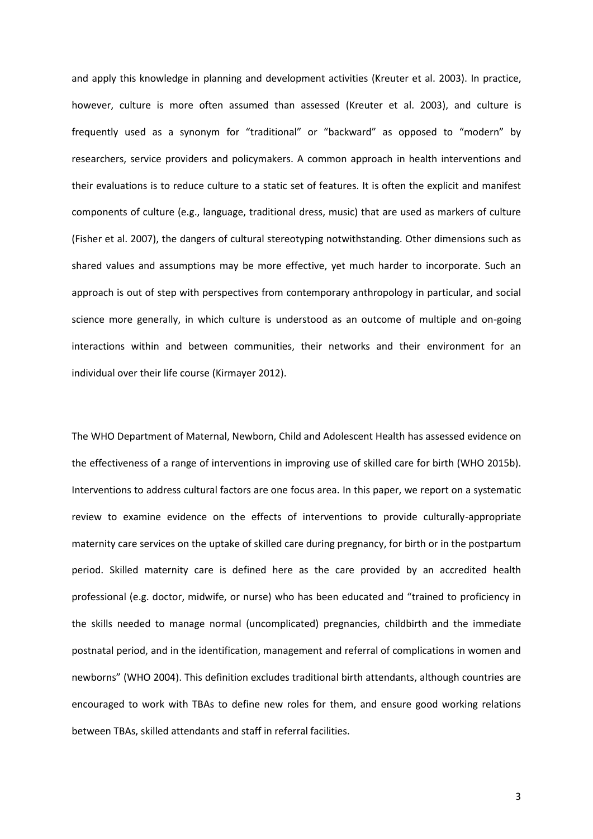and apply this knowledge in planning and development activities (Kreuter et al. 2003). In practice, however, culture is more often assumed than assessed (Kreuter et al. 2003), and culture is frequently used as a synonym for "traditional" or "backward" as opposed to "modern" by researchers, service providers and policymakers. A common approach in health interventions and their evaluations is to reduce culture to a static set of features. It is often the explicit and manifest components of culture (e.g., language, traditional dress, music) that are used as markers of culture (Fisher et al. 2007), the dangers of cultural stereotyping notwithstanding. Other dimensions such as shared values and assumptions may be more effective, yet much harder to incorporate. Such an approach is out of step with perspectives from contemporary anthropology in particular, and social science more generally, in which culture is understood as an outcome of multiple and on-going interactions within and between communities, their networks and their environment for an individual over their life course (Kirmayer 2012).

The WHO Department of Maternal, Newborn, Child and Adolescent Health has assessed evidence on the effectiveness of a range of interventions in improving use of skilled care for birth (WHO 2015b). Interventions to address cultural factors are one focus area. In this paper, we report on a systematic review to examine evidence on the effects of interventions to provide culturally-appropriate maternity care services on the uptake of skilled care during pregnancy, for birth or in the postpartum period. Skilled maternity care is defined here as the care provided by an accredited health professional (e.g. doctor, midwife, or nurse) who has been educated and "trained to proficiency in the skills needed to manage normal (uncomplicated) pregnancies, childbirth and the immediate postnatal period, and in the identification, management and referral of complications in women and newborns" (WHO 2004). This definition excludes traditional birth attendants, although countries are encouraged to work with TBAs to define new roles for them, and ensure good working relations between TBAs, skilled attendants and staff in referral facilities.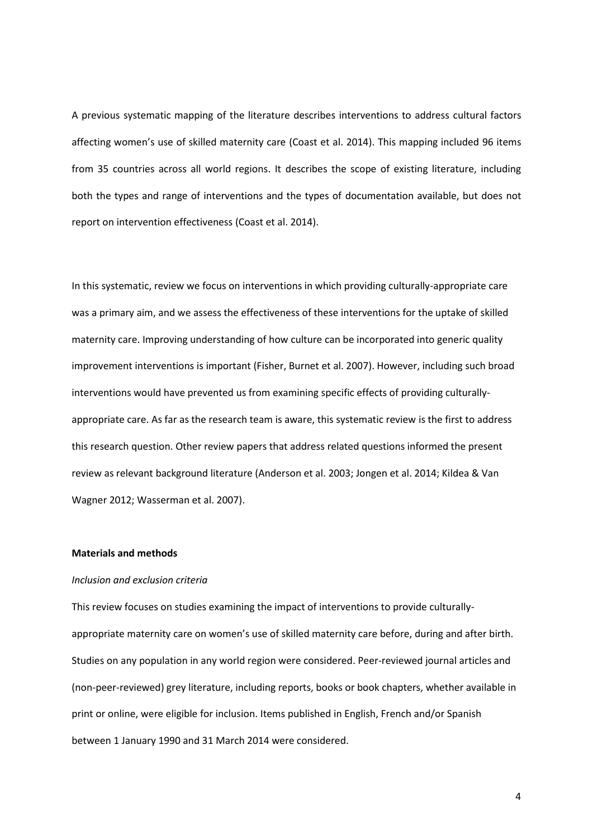A previous systematic mapping of the literature describes interventions to address cultural factors affecting women's use of skilled maternity care (Coast et al. 2014). This mapping included 96 items from 35 countries across all world regions. It describes the scope of existing literature, including both the types and range of interventions and the types of documentation available, but does not report on intervention effectiveness (Coast et al. 2014).

In this systematic, review we focus on interventions in which providing culturally-appropriate care was a primary aim, and we assess the effectiveness of these interventions for the uptake of skilled maternity care. Improving understanding of how culture can be incorporated into generic quality improvement interventions is important (Fisher, Burnet et al. 2007). However, including such broad interventions would have prevented us from examining specific effects of providing culturallyappropriate care. As far as the research team is aware, this systematic review is the first to address this research question. Other review papers that address related questions informed the present review as relevant background literature (Anderson et al. 2003; Jongen et al. 2014; Kildea & Van Wagner 2012; Wasserman et al. 2007).

#### **Materials and methods**

### *Inclusion and exclusion criteria*

This review focuses on studies examining the impact of interventions to provide culturallyappropriate maternity care on women's use of skilled maternity care before, during and after birth. Studies on any population in any world region were considered. Peer-reviewed journal articles and (non-peer-reviewed) grey literature, including reports, books or book chapters, whether available in print or online, were eligible for inclusion. Items published in English, French and/or Spanish between 1 January 1990 and 31 March 2014 were considered.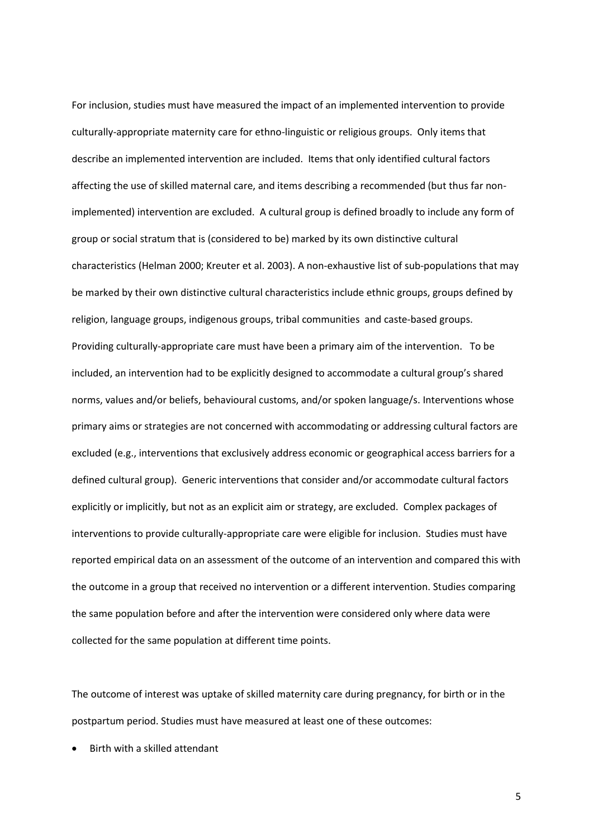For inclusion, studies must have measured the impact of an implemented intervention to provide culturally-appropriate maternity care for ethno-linguistic or religious groups. Only items that describe an implemented intervention are included. Items that only identified cultural factors affecting the use of skilled maternal care, and items describing a recommended (but thus far nonimplemented) intervention are excluded. A cultural group is defined broadly to include any form of group or social stratum that is (considered to be) marked by its own distinctive cultural characteristics (Helman 2000; Kreuter et al. 2003). A non-exhaustive list of sub-populations that may be marked by their own distinctive cultural characteristics include ethnic groups, groups defined by religion, language groups, indigenous groups, tribal communities and caste-based groups. Providing culturally-appropriate care must have been a primary aim of the intervention. To be included, an intervention had to be explicitly designed to accommodate a cultural group's shared norms, values and/or beliefs, behavioural customs, and/or spoken language/s. Interventions whose primary aims or strategies are not concerned with accommodating or addressing cultural factors are excluded (e.g., interventions that exclusively address economic or geographical access barriers for a defined cultural group). Generic interventions that consider and/or accommodate cultural factors explicitly or implicitly, but not as an explicit aim or strategy, are excluded. Complex packages of interventions to provide culturally-appropriate care were eligible for inclusion. Studies must have reported empirical data on an assessment of the outcome of an intervention and compared this with the outcome in a group that received no intervention or a different intervention. Studies comparing the same population before and after the intervention were considered only where data were collected for the same population at different time points.

The outcome of interest was uptake of skilled maternity care during pregnancy, for birth or in the postpartum period. Studies must have measured at least one of these outcomes:

Birth with a skilled attendant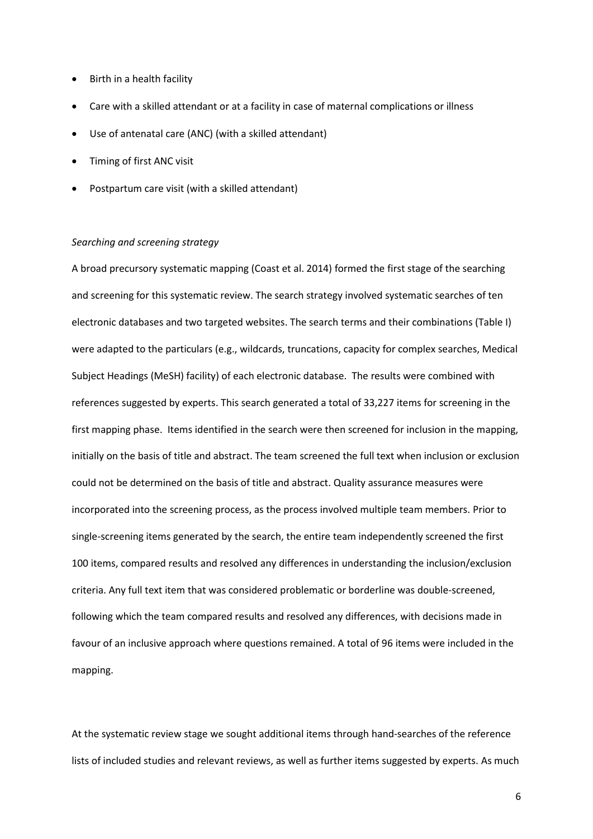- Birth in a health facility
- Care with a skilled attendant or at a facility in case of maternal complications or illness
- Use of antenatal care (ANC) (with a skilled attendant)
- Timing of first ANC visit
- Postpartum care visit (with a skilled attendant)

#### *Searching and screening strategy*

A broad precursory systematic mapping (Coast et al. 2014) formed the first stage of the searching and screening for this systematic review. The search strategy involved systematic searches of ten electronic databases and two targeted websites. The search terms and their combinations (Table I) were adapted to the particulars (e.g., wildcards, truncations, capacity for complex searches, Medical Subject Headings (MeSH) facility) of each electronic database. The results were combined with references suggested by experts. This search generated a total of 33,227 items for screening in the first mapping phase. Items identified in the search were then screened for inclusion in the mapping, initially on the basis of title and abstract. The team screened the full text when inclusion or exclusion could not be determined on the basis of title and abstract. Quality assurance measures were incorporated into the screening process, as the process involved multiple team members. Prior to single-screening items generated by the search, the entire team independently screened the first 100 items, compared results and resolved any differences in understanding the inclusion/exclusion criteria. Any full text item that was considered problematic or borderline was double-screened, following which the team compared results and resolved any differences, with decisions made in favour of an inclusive approach where questions remained. A total of 96 items were included in the mapping.

At the systematic review stage we sought additional items through hand-searches of the reference lists of included studies and relevant reviews, as well as further items suggested by experts. As much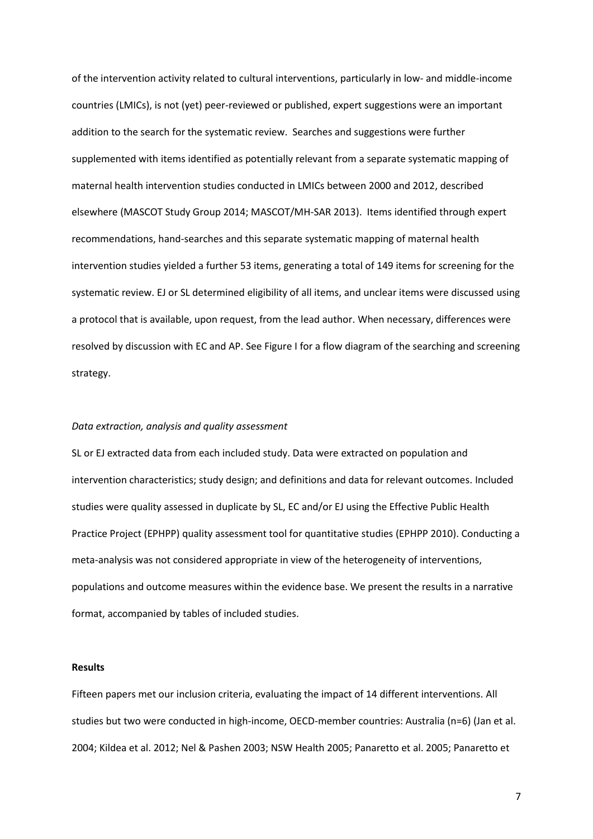of the intervention activity related to cultural interventions, particularly in low- and middle-income countries (LMICs), is not (yet) peer-reviewed or published, expert suggestions were an important addition to the search for the systematic review. Searches and suggestions were further supplemented with items identified as potentially relevant from a separate systematic mapping of maternal health intervention studies conducted in LMICs between 2000 and 2012, described elsewhere (MASCOT Study Group 2014; MASCOT/MH-SAR 2013). Items identified through expert recommendations, hand-searches and this separate systematic mapping of maternal health intervention studies yielded a further 53 items, generating a total of 149 items for screening for the systematic review. EJ or SL determined eligibility of all items, and unclear items were discussed using a protocol that is available, upon request, from the lead author. When necessary, differences were resolved by discussion with EC and AP. See Figure I for a flow diagram of the searching and screening strategy.

#### *Data extraction, analysis and quality assessment*

SL or EJ extracted data from each included study. Data were extracted on population and intervention characteristics; study design; and definitions and data for relevant outcomes. Included studies were quality assessed in duplicate by SL, EC and/or EJ using the Effective Public Health Practice Project (EPHPP) quality assessment tool for quantitative studies (EPHPP 2010). Conducting a meta-analysis was not considered appropriate in view of the heterogeneity of interventions, populations and outcome measures within the evidence base. We present the results in a narrative format, accompanied by tables of included studies.

#### **Results**

Fifteen papers met our inclusion criteria, evaluating the impact of 14 different interventions. All studies but two were conducted in high-income, OECD-member countries: Australia (n=6) (Jan et al. 2004; Kildea et al. 2012; Nel & Pashen 2003; NSW Health 2005; Panaretto et al. 2005; Panaretto et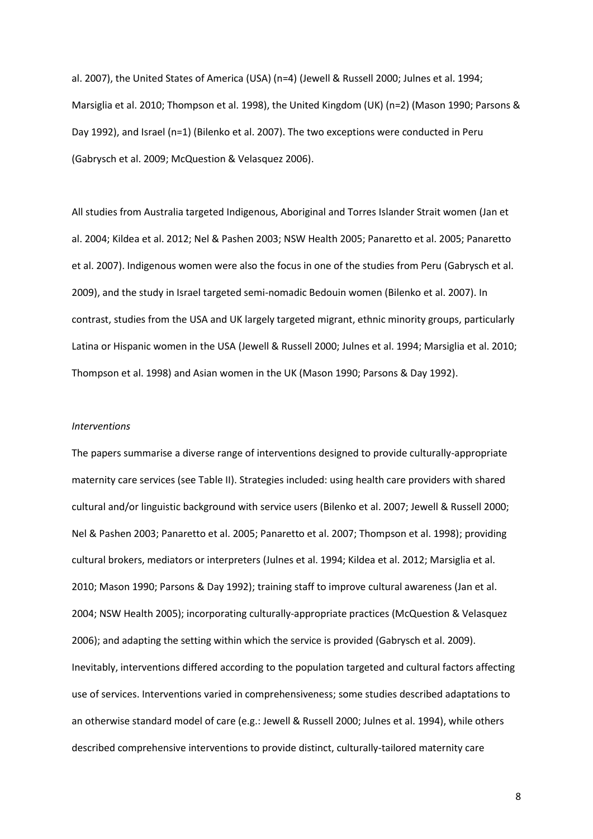al. 2007), the United States of America (USA) (n=4) (Jewell & Russell 2000; Julnes et al. 1994; Marsiglia et al. 2010; Thompson et al. 1998), the United Kingdom (UK) (n=2) (Mason 1990; Parsons & Day 1992), and Israel (n=1) (Bilenko et al. 2007). The two exceptions were conducted in Peru (Gabrysch et al. 2009; McQuestion & Velasquez 2006).

All studies from Australia targeted Indigenous, Aboriginal and Torres Islander Strait women (Jan et al. 2004; Kildea et al. 2012; Nel & Pashen 2003; NSW Health 2005; Panaretto et al. 2005; Panaretto et al. 2007). Indigenous women were also the focus in one of the studies from Peru (Gabrysch et al. 2009), and the study in Israel targeted semi-nomadic Bedouin women (Bilenko et al. 2007). In contrast, studies from the USA and UK largely targeted migrant, ethnic minority groups, particularly Latina or Hispanic women in the USA (Jewell & Russell 2000; Julnes et al. 1994; Marsiglia et al. 2010; Thompson et al. 1998) and Asian women in the UK (Mason 1990; Parsons & Day 1992).

#### *Interventions*

The papers summarise a diverse range of interventions designed to provide culturally-appropriate maternity care services (see Table II). Strategies included: using health care providers with shared cultural and/or linguistic background with service users (Bilenko et al. 2007; Jewell & Russell 2000; Nel & Pashen 2003; Panaretto et al. 2005; Panaretto et al. 2007; Thompson et al. 1998); providing cultural brokers, mediators or interpreters (Julnes et al. 1994; Kildea et al. 2012; Marsiglia et al. 2010; Mason 1990; Parsons & Day 1992); training staff to improve cultural awareness (Jan et al. 2004; NSW Health 2005); incorporating culturally-appropriate practices (McQuestion & Velasquez 2006); and adapting the setting within which the service is provided (Gabrysch et al. 2009). Inevitably, interventions differed according to the population targeted and cultural factors affecting use of services. Interventions varied in comprehensiveness; some studies described adaptations to an otherwise standard model of care (e.g.: Jewell & Russell 2000; Julnes et al. 1994), while others described comprehensive interventions to provide distinct, culturally-tailored maternity care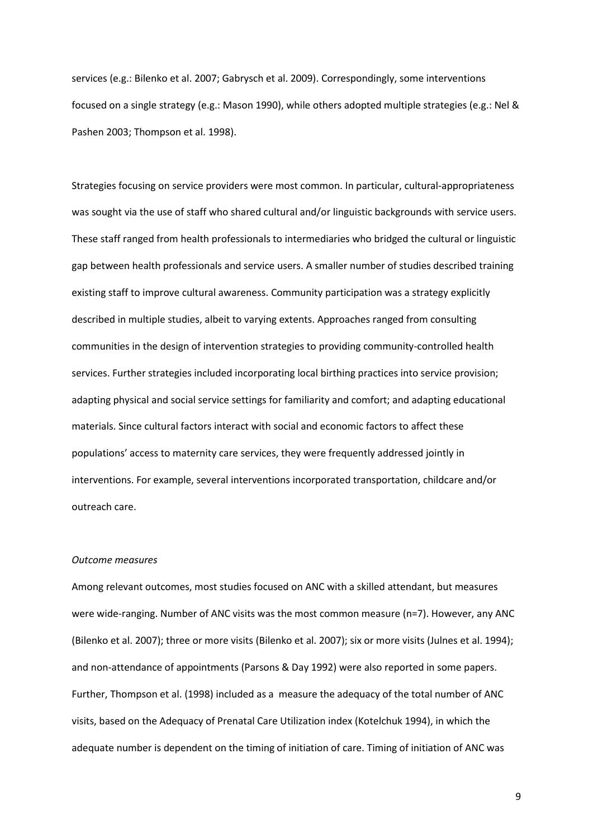services (e.g.: Bilenko et al. 2007; Gabrysch et al. 2009). Correspondingly, some interventions focused on a single strategy (e.g.: Mason 1990), while others adopted multiple strategies (e.g.: Nel & Pashen 2003; Thompson et al. 1998).

Strategies focusing on service providers were most common. In particular, cultural-appropriateness was sought via the use of staff who shared cultural and/or linguistic backgrounds with service users. These staff ranged from health professionals to intermediaries who bridged the cultural or linguistic gap between health professionals and service users. A smaller number of studies described training existing staff to improve cultural awareness. Community participation was a strategy explicitly described in multiple studies, albeit to varying extents. Approaches ranged from consulting communities in the design of intervention strategies to providing community-controlled health services. Further strategies included incorporating local birthing practices into service provision; adapting physical and social service settings for familiarity and comfort; and adapting educational materials. Since cultural factors interact with social and economic factors to affect these populations' access to maternity care services, they were frequently addressed jointly in interventions. For example, several interventions incorporated transportation, childcare and/or outreach care.

#### *Outcome measures*

Among relevant outcomes, most studies focused on ANC with a skilled attendant, but measures were wide-ranging. Number of ANC visits was the most common measure (n=7). However, any ANC (Bilenko et al. 2007); three or more visits (Bilenko et al. 2007); six or more visits (Julnes et al. 1994); and non-attendance of appointments (Parsons & Day 1992) were also reported in some papers. Further, Thompson et al. (1998) included as a measure the adequacy of the total number of ANC visits, based on the Adequacy of Prenatal Care Utilization index (Kotelchuk 1994), in which the adequate number is dependent on the timing of initiation of care. Timing of initiation of ANC was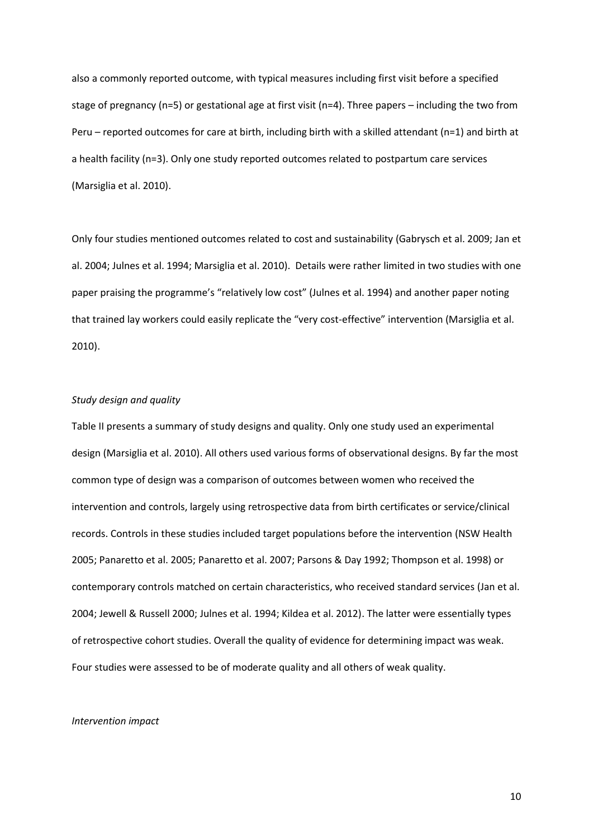also a commonly reported outcome, with typical measures including first visit before a specified stage of pregnancy (n=5) or gestational age at first visit (n=4). Three papers – including the two from Peru – reported outcomes for care at birth, including birth with a skilled attendant (n=1) and birth at a health facility (n=3). Only one study reported outcomes related to postpartum care services (Marsiglia et al. 2010).

Only four studies mentioned outcomes related to cost and sustainability (Gabrysch et al. 2009; Jan et al. 2004; Julnes et al. 1994; Marsiglia et al. 2010). Details were rather limited in two studies with one paper praising the programme's "relatively low cost" (Julnes et al. 1994) and another paper noting that trained lay workers could easily replicate the "very cost-effective" intervention (Marsiglia et al. 2010).

## *Study design and quality*

Table II presents a summary of study designs and quality. Only one study used an experimental design (Marsiglia et al. 2010). All others used various forms of observational designs. By far the most common type of design was a comparison of outcomes between women who received the intervention and controls, largely using retrospective data from birth certificates or service/clinical records. Controls in these studies included target populations before the intervention (NSW Health 2005; Panaretto et al. 2005; Panaretto et al. 2007; Parsons & Day 1992; Thompson et al. 1998) or contemporary controls matched on certain characteristics, who received standard services (Jan et al. 2004; Jewell & Russell 2000; Julnes et al. 1994; Kildea et al. 2012). The latter were essentially types of retrospective cohort studies. Overall the quality of evidence for determining impact was weak. Four studies were assessed to be of moderate quality and all others of weak quality.

#### *Intervention impact*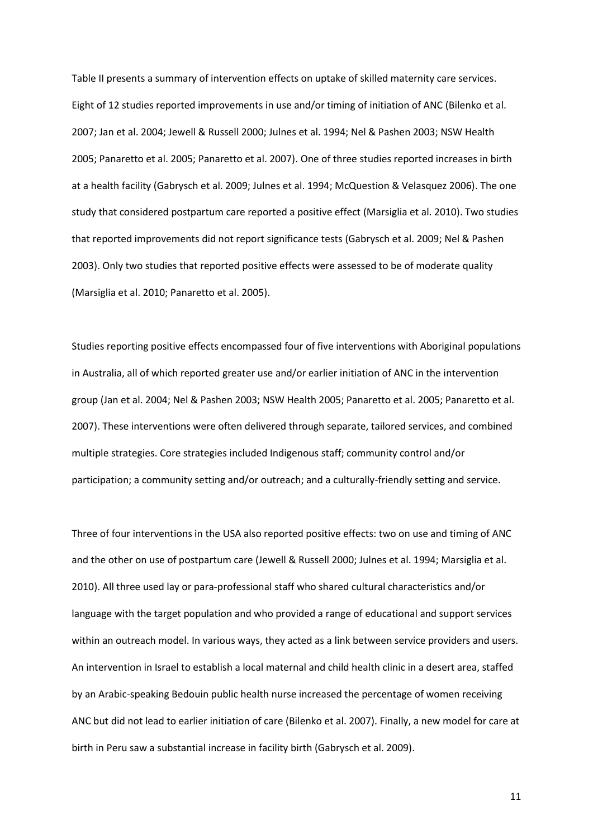Table II presents a summary of intervention effects on uptake of skilled maternity care services. Eight of 12 studies reported improvements in use and/or timing of initiation of ANC (Bilenko et al. 2007; Jan et al. 2004; Jewell & Russell 2000; Julnes et al. 1994; Nel & Pashen 2003; NSW Health 2005; Panaretto et al. 2005; Panaretto et al. 2007). One of three studies reported increases in birth at a health facility (Gabrysch et al. 2009; Julnes et al. 1994; McQuestion & Velasquez 2006). The one study that considered postpartum care reported a positive effect (Marsiglia et al. 2010). Two studies that reported improvements did not report significance tests (Gabrysch et al. 2009; Nel & Pashen 2003). Only two studies that reported positive effects were assessed to be of moderate quality (Marsiglia et al. 2010; Panaretto et al. 2005).

Studies reporting positive effects encompassed four of five interventions with Aboriginal populations in Australia, all of which reported greater use and/or earlier initiation of ANC in the intervention group (Jan et al. 2004; Nel & Pashen 2003; NSW Health 2005; Panaretto et al. 2005; Panaretto et al. 2007). These interventions were often delivered through separate, tailored services, and combined multiple strategies. Core strategies included Indigenous staff; community control and/or participation; a community setting and/or outreach; and a culturally-friendly setting and service.

Three of four interventions in the USA also reported positive effects: two on use and timing of ANC and the other on use of postpartum care (Jewell & Russell 2000; Julnes et al. 1994; Marsiglia et al. 2010). All three used lay or para-professional staff who shared cultural characteristics and/or language with the target population and who provided a range of educational and support services within an outreach model. In various ways, they acted as a link between service providers and users. An intervention in Israel to establish a local maternal and child health clinic in a desert area, staffed by an Arabic-speaking Bedouin public health nurse increased the percentage of women receiving ANC but did not lead to earlier initiation of care (Bilenko et al. 2007). Finally, a new model for care at birth in Peru saw a substantial increase in facility birth (Gabrysch et al. 2009).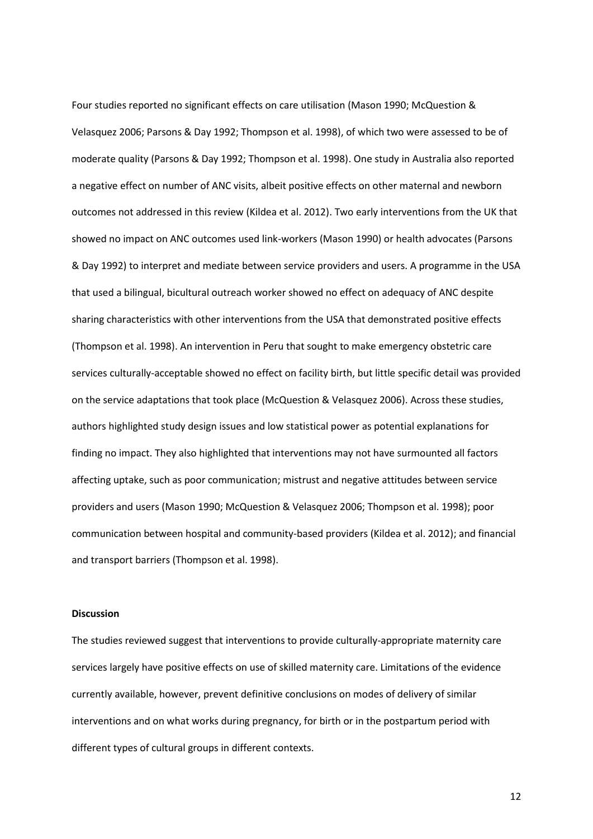Four studies reported no significant effects on care utilisation (Mason 1990; McQuestion & Velasquez 2006; Parsons & Day 1992; Thompson et al. 1998), of which two were assessed to be of moderate quality (Parsons & Day 1992; Thompson et al. 1998). One study in Australia also reported a negative effect on number of ANC visits, albeit positive effects on other maternal and newborn outcomes not addressed in this review (Kildea et al. 2012). Two early interventions from the UK that showed no impact on ANC outcomes used link-workers (Mason 1990) or health advocates (Parsons & Day 1992) to interpret and mediate between service providers and users. A programme in the USA that used a bilingual, bicultural outreach worker showed no effect on adequacy of ANC despite sharing characteristics with other interventions from the USA that demonstrated positive effects (Thompson et al. 1998). An intervention in Peru that sought to make emergency obstetric care services culturally-acceptable showed no effect on facility birth, but little specific detail was provided on the service adaptations that took place (McQuestion & Velasquez 2006). Across these studies, authors highlighted study design issues and low statistical power as potential explanations for finding no impact. They also highlighted that interventions may not have surmounted all factors affecting uptake, such as poor communication; mistrust and negative attitudes between service providers and users (Mason 1990; McQuestion & Velasquez 2006; Thompson et al. 1998); poor communication between hospital and community-based providers (Kildea et al. 2012); and financial and transport barriers (Thompson et al. 1998).

#### **Discussion**

The studies reviewed suggest that interventions to provide culturally-appropriate maternity care services largely have positive effects on use of skilled maternity care. Limitations of the evidence currently available, however, prevent definitive conclusions on modes of delivery of similar interventions and on what works during pregnancy, for birth or in the postpartum period with different types of cultural groups in different contexts.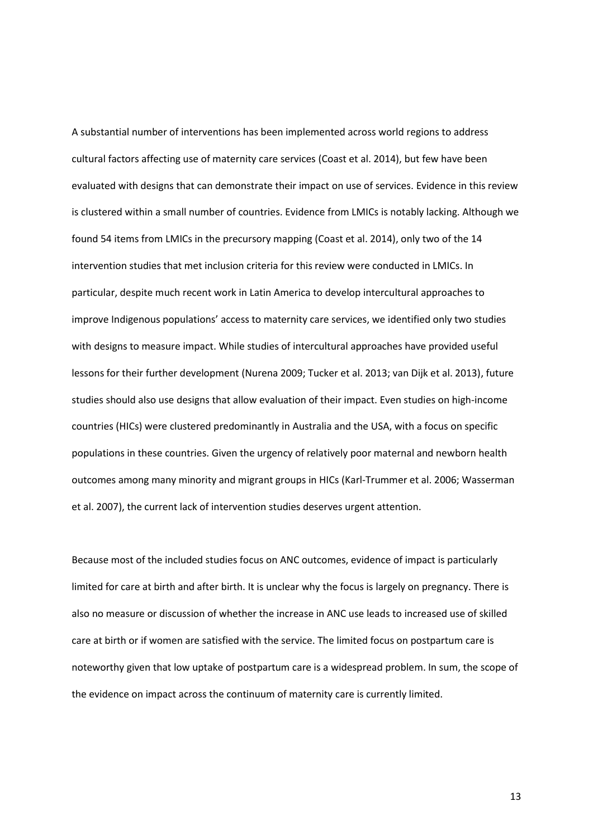A substantial number of interventions has been implemented across world regions to address cultural factors affecting use of maternity care services (Coast et al. 2014), but few have been evaluated with designs that can demonstrate their impact on use of services. Evidence in this review is clustered within a small number of countries. Evidence from LMICs is notably lacking. Although we found 54 items from LMICs in the precursory mapping (Coast et al. 2014), only two of the 14 intervention studies that met inclusion criteria for this review were conducted in LMICs. In particular, despite much recent work in Latin America to develop intercultural approaches to improve Indigenous populations' access to maternity care services, we identified only two studies with designs to measure impact. While studies of intercultural approaches have provided useful lessons for their further development (Nurena 2009; Tucker et al. 2013; van Dijk et al. 2013), future studies should also use designs that allow evaluation of their impact. Even studies on high-income countries (HICs) were clustered predominantly in Australia and the USA, with a focus on specific populations in these countries. Given the urgency of relatively poor maternal and newborn health outcomes among many minority and migrant groups in HICs (Karl-Trummer et al. 2006; Wasserman et al. 2007), the current lack of intervention studies deserves urgent attention.

Because most of the included studies focus on ANC outcomes, evidence of impact is particularly limited for care at birth and after birth. It is unclear why the focus is largely on pregnancy. There is also no measure or discussion of whether the increase in ANC use leads to increased use of skilled care at birth or if women are satisfied with the service. The limited focus on postpartum care is noteworthy given that low uptake of postpartum care is a widespread problem. In sum, the scope of the evidence on impact across the continuum of maternity care is currently limited.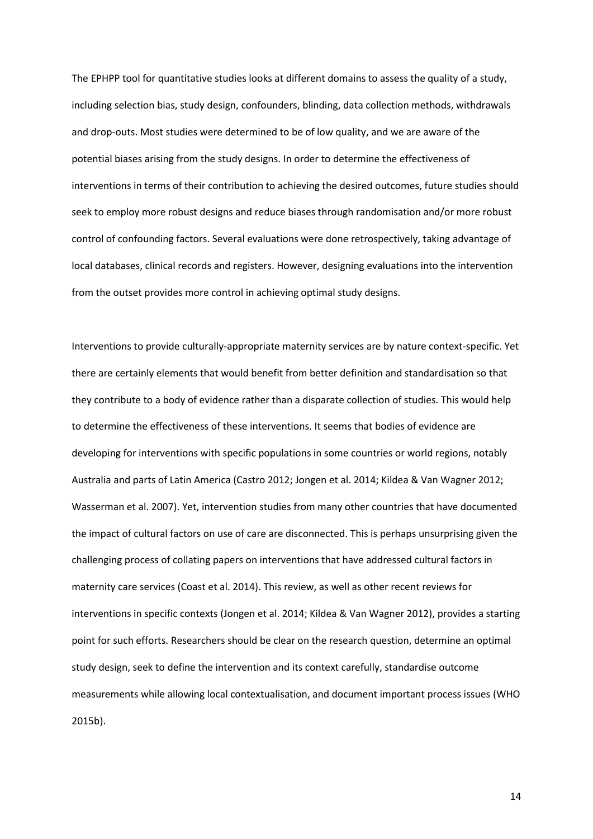The EPHPP tool for quantitative studies looks at different domains to assess the quality of a study, including selection bias, study design, confounders, blinding, data collection methods, withdrawals and drop-outs. Most studies were determined to be of low quality, and we are aware of the potential biases arising from the study designs. In order to determine the effectiveness of interventions in terms of their contribution to achieving the desired outcomes, future studies should seek to employ more robust designs and reduce biases through randomisation and/or more robust control of confounding factors. Several evaluations were done retrospectively, taking advantage of local databases, clinical records and registers. However, designing evaluations into the intervention from the outset provides more control in achieving optimal study designs.

Interventions to provide culturally-appropriate maternity services are by nature context-specific. Yet there are certainly elements that would benefit from better definition and standardisation so that they contribute to a body of evidence rather than a disparate collection of studies. This would help to determine the effectiveness of these interventions. It seems that bodies of evidence are developing for interventions with specific populations in some countries or world regions, notably Australia and parts of Latin America (Castro 2012; Jongen et al. 2014; Kildea & Van Wagner 2012; Wasserman et al. 2007). Yet, intervention studies from many other countries that have documented the impact of cultural factors on use of care are disconnected. This is perhaps unsurprising given the challenging process of collating papers on interventions that have addressed cultural factors in maternity care services (Coast et al. 2014). This review, as well as other recent reviews for interventions in specific contexts (Jongen et al. 2014; Kildea & Van Wagner 2012), provides a starting point for such efforts. Researchers should be clear on the research question, determine an optimal study design, seek to define the intervention and its context carefully, standardise outcome measurements while allowing local contextualisation, and document important process issues (WHO 2015b).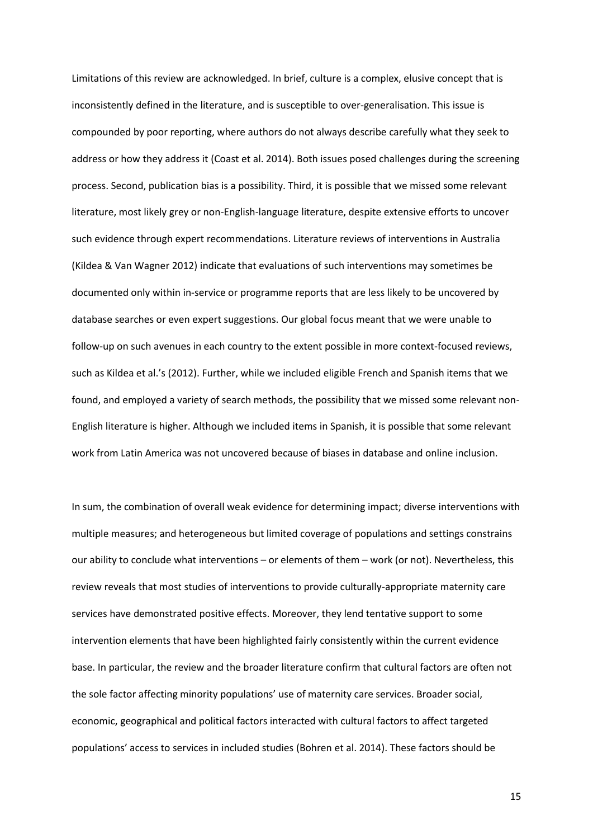Limitations of this review are acknowledged. In brief, culture is a complex, elusive concept that is inconsistently defined in the literature, and is susceptible to over-generalisation. This issue is compounded by poor reporting, where authors do not always describe carefully what they seek to address or how they address it (Coast et al. 2014). Both issues posed challenges during the screening process. Second, publication bias is a possibility. Third, it is possible that we missed some relevant literature, most likely grey or non-English-language literature, despite extensive efforts to uncover such evidence through expert recommendations. Literature reviews of interventions in Australia (Kildea & Van Wagner 2012) indicate that evaluations of such interventions may sometimes be documented only within in-service or programme reports that are less likely to be uncovered by database searches or even expert suggestions. Our global focus meant that we were unable to follow-up on such avenues in each country to the extent possible in more context-focused reviews, such as Kildea et al.'s (2012). Further, while we included eligible French and Spanish items that we found, and employed a variety of search methods, the possibility that we missed some relevant non-English literature is higher. Although we included items in Spanish, it is possible that some relevant work from Latin America was not uncovered because of biases in database and online inclusion.

In sum, the combination of overall weak evidence for determining impact; diverse interventions with multiple measures; and heterogeneous but limited coverage of populations and settings constrains our ability to conclude what interventions – or elements of them – work (or not). Nevertheless, this review reveals that most studies of interventions to provide culturally-appropriate maternity care services have demonstrated positive effects. Moreover, they lend tentative support to some intervention elements that have been highlighted fairly consistently within the current evidence base. In particular, the review and the broader literature confirm that cultural factors are often not the sole factor affecting minority populations' use of maternity care services. Broader social, economic, geographical and political factors interacted with cultural factors to affect targeted populations' access to services in included studies (Bohren et al. 2014). These factors should be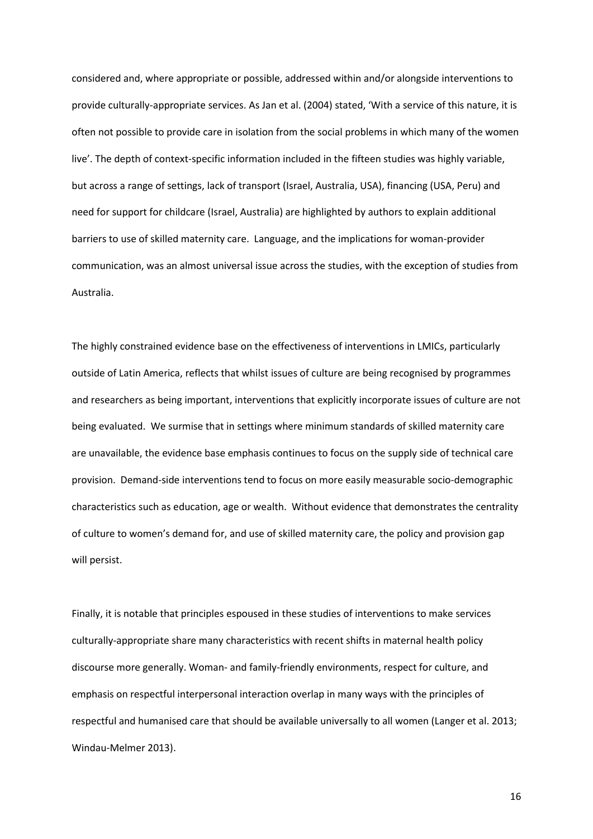considered and, where appropriate or possible, addressed within and/or alongside interventions to provide culturally-appropriate services. As Jan et al. (2004) stated, 'With a service of this nature, it is often not possible to provide care in isolation from the social problems in which many of the women live'. The depth of context-specific information included in the fifteen studies was highly variable, but across a range of settings, lack of transport (Israel, Australia, USA), financing (USA, Peru) and need for support for childcare (Israel, Australia) are highlighted by authors to explain additional barriers to use of skilled maternity care. Language, and the implications for woman-provider communication, was an almost universal issue across the studies, with the exception of studies from Australia.

The highly constrained evidence base on the effectiveness of interventions in LMICs, particularly outside of Latin America, reflects that whilst issues of culture are being recognised by programmes and researchers as being important, interventions that explicitly incorporate issues of culture are not being evaluated. We surmise that in settings where minimum standards of skilled maternity care are unavailable, the evidence base emphasis continues to focus on the supply side of technical care provision. Demand-side interventions tend to focus on more easily measurable socio-demographic characteristics such as education, age or wealth. Without evidence that demonstrates the centrality of culture to women's demand for, and use of skilled maternity care, the policy and provision gap will persist.

Finally, it is notable that principles espoused in these studies of interventions to make services culturally-appropriate share many characteristics with recent shifts in maternal health policy discourse more generally. Woman- and family-friendly environments, respect for culture, and emphasis on respectful interpersonal interaction overlap in many ways with the principles of respectful and humanised care that should be available universally to all women (Langer et al. 2013; Windau-Melmer 2013).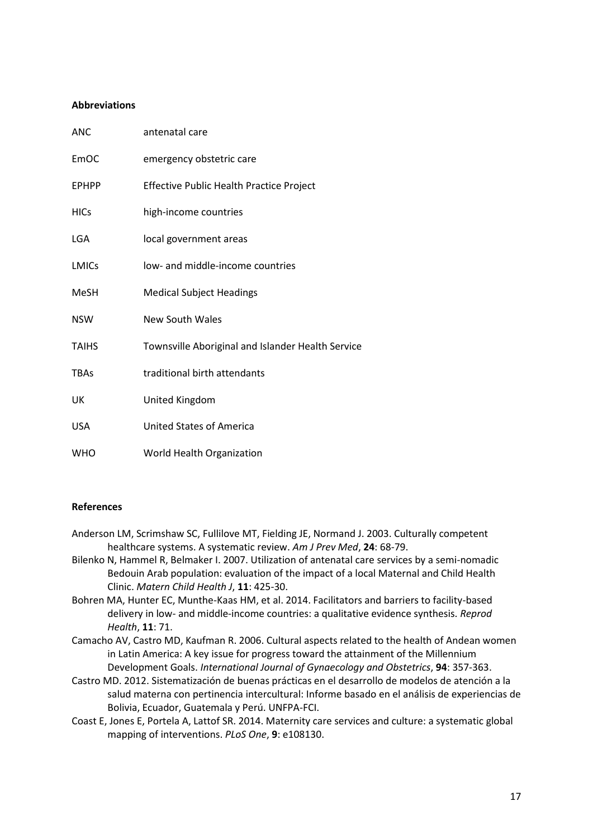## **Abbreviations**

| <b>ANC</b>   | antenatal care                                    |
|--------------|---------------------------------------------------|
| EmOC         | emergency obstetric care                          |
| <b>EPHPP</b> | Effective Public Health Practice Project          |
| <b>HICs</b>  | high-income countries                             |
| <b>LGA</b>   | local government areas                            |
| <b>LMICs</b> | low- and middle-income countries                  |
| <b>MeSH</b>  | <b>Medical Subject Headings</b>                   |
| <b>NSW</b>   | <b>New South Wales</b>                            |
| <b>TAIHS</b> | Townsville Aboriginal and Islander Health Service |
| <b>TBAs</b>  | traditional birth attendants                      |
| UK           | United Kingdom                                    |
| <b>USA</b>   | <b>United States of America</b>                   |
| <b>WHO</b>   | World Health Organization                         |

## **References**

- Anderson LM, Scrimshaw SC, Fullilove MT, Fielding JE, Normand J. 2003. Culturally competent healthcare systems. A systematic review. *Am J Prev Med*, **24**: 68-79.
- Bilenko N, Hammel R, Belmaker I. 2007. Utilization of antenatal care services by a semi-nomadic Bedouin Arab population: evaluation of the impact of a local Maternal and Child Health Clinic. *Matern Child Health J*, **11**: 425-30.
- Bohren MA, Hunter EC, Munthe-Kaas HM, et al. 2014. Facilitators and barriers to facility-based delivery in low- and middle-income countries: a qualitative evidence synthesis. *Reprod Health*, **11**: 71.
- Camacho AV, Castro MD, Kaufman R. 2006. Cultural aspects related to the health of Andean women in Latin America: A key issue for progress toward the attainment of the Millennium Development Goals. *International Journal of Gynaecology and Obstetrics*, **94**: 357-363.
- Castro MD. 2012. Sistematización de buenas prácticas en el desarrollo de modelos de atención a la salud materna con pertinencia intercultural: Informe basado en el análisis de experiencias de Bolivia, Ecuador, Guatemala y Perú. UNFPA-FCI.
- Coast E, Jones E, Portela A, Lattof SR. 2014. Maternity care services and culture: a systematic global mapping of interventions. *PLoS One*, **9**: e108130.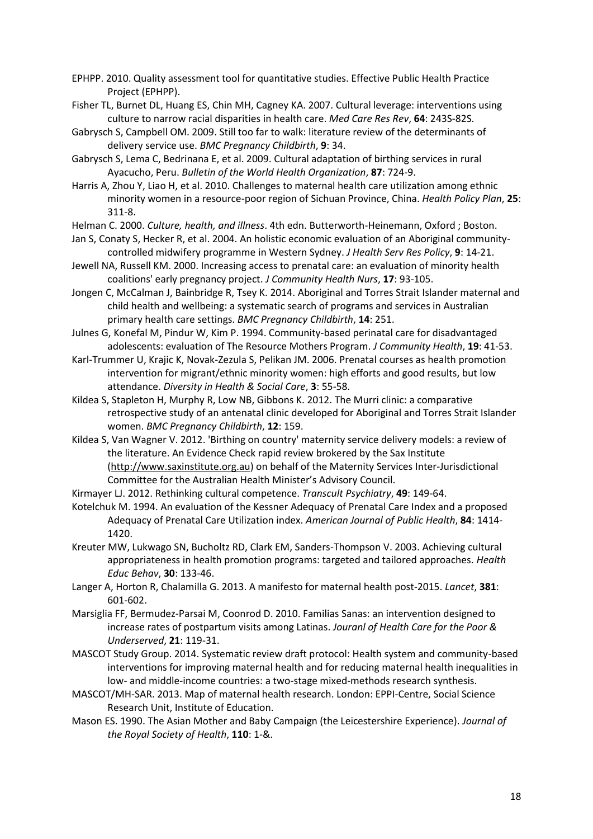- EPHPP. 2010. Quality assessment tool for quantitative studies. Effective Public Health Practice Project (EPHPP).
- Fisher TL, Burnet DL, Huang ES, Chin MH, Cagney KA. 2007. Cultural leverage: interventions using culture to narrow racial disparities in health care. *Med Care Res Rev*, **64**: 243S-82S.

Gabrysch S, Campbell OM. 2009. Still too far to walk: literature review of the determinants of delivery service use. *BMC Pregnancy Childbirth*, **9**: 34.

Gabrysch S, Lema C, Bedrinana E, et al. 2009. Cultural adaptation of birthing services in rural Ayacucho, Peru. *Bulletin of the World Health Organization*, **87**: 724-9.

Harris A, Zhou Y, Liao H, et al. 2010. Challenges to maternal health care utilization among ethnic minority women in a resource-poor region of Sichuan Province, China. *Health Policy Plan*, **25**: 311-8.

Helman C. 2000. *Culture, health, and illness*. 4th edn. Butterworth-Heinemann, Oxford ; Boston.

Jan S, Conaty S, Hecker R, et al. 2004. An holistic economic evaluation of an Aboriginal communitycontrolled midwifery programme in Western Sydney. *J Health Serv Res Policy*, **9**: 14-21.

Jewell NA, Russell KM. 2000. Increasing access to prenatal care: an evaluation of minority health coalitions' early pregnancy project. *J Community Health Nurs*, **17**: 93-105.

Jongen C, McCalman J, Bainbridge R, Tsey K. 2014. Aboriginal and Torres Strait Islander maternal and child health and wellbeing: a systematic search of programs and services in Australian primary health care settings. *BMC Pregnancy Childbirth*, **14**: 251.

Julnes G, Konefal M, Pindur W, Kim P. 1994. Community-based perinatal care for disadvantaged adolescents: evaluation of The Resource Mothers Program. *J Community Health*, **19**: 41-53.

Karl-Trummer U, Krajic K, Novak-Zezula S, Pelikan JM. 2006. Prenatal courses as health promotion intervention for migrant/ethnic minority women: high efforts and good results, but low attendance. *Diversity in Health & Social Care*, **3**: 55-58.

Kildea S, Stapleton H, Murphy R, Low NB, Gibbons K. 2012. The Murri clinic: a comparative retrospective study of an antenatal clinic developed for Aboriginal and Torres Strait Islander women. *BMC Pregnancy Childbirth*, **12**: 159.

Kildea S, Van Wagner V. 2012. 'Birthing on country' maternity service delivery models: a review of the literature. An Evidence Check rapid review brokered by the Sax Institute [\(http://www.saxinstitute.org.au\)](http://www.saxinstitute.org.au/) on behalf of the Maternity Services Inter-Jurisdictional Committee for the Australian Health Minister's Advisory Council.

Kirmayer LJ. 2012. Rethinking cultural competence. *Transcult Psychiatry*, **49**: 149-64.

Kotelchuk M. 1994. An evaluation of the Kessner Adequacy of Prenatal Care Index and a proposed Adequacy of Prenatal Care Utilization index. *American Journal of Public Health*, **84**: 1414- 1420.

Kreuter MW, Lukwago SN, Bucholtz RD, Clark EM, Sanders-Thompson V. 2003. Achieving cultural appropriateness in health promotion programs: targeted and tailored approaches. *Health Educ Behav*, **30**: 133-46.

Langer A, Horton R, Chalamilla G. 2013. A manifesto for maternal health post-2015. *Lancet*, **381**: 601-602.

Marsiglia FF, Bermudez-Parsai M, Coonrod D. 2010. Familias Sanas: an intervention designed to increase rates of postpartum visits among Latinas. *Jouranl of Health Care for the Poor & Underserved*, **21**: 119-31.

MASCOT Study Group. 2014. Systematic review draft protocol: Health system and community-based interventions for improving maternal health and for reducing maternal health inequalities in low- and middle-income countries: a two-stage mixed-methods research synthesis.

MASCOT/MH-SAR. 2013. Map of maternal health research. London: EPPI-Centre, Social Science Research Unit, Institute of Education.

Mason ES. 1990. The Asian Mother and Baby Campaign (the Leicestershire Experience). *Journal of the Royal Society of Health*, **110**: 1-&.